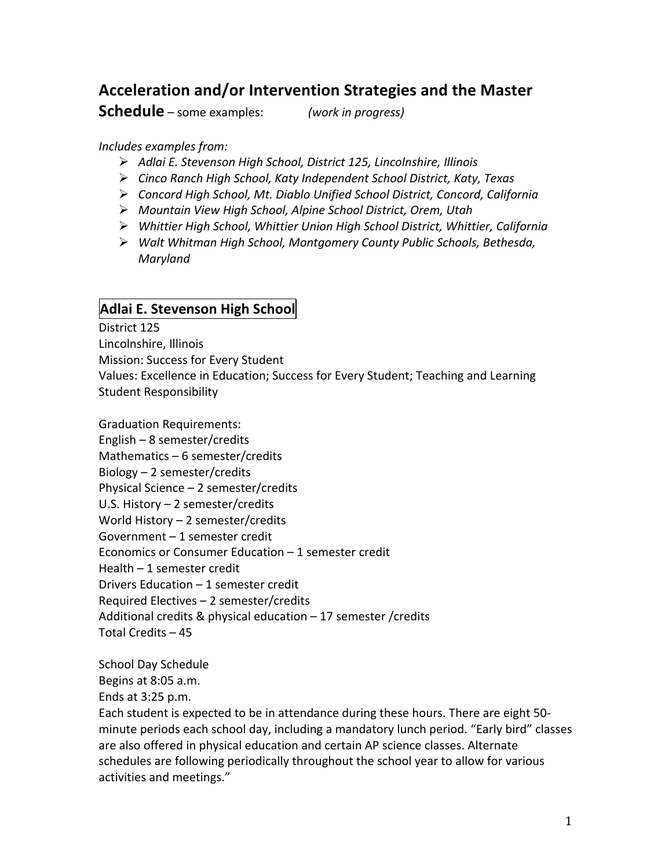# **Acceleration+and/or+Intervention+Strategies and+the+Master+**

**Schedule** – some examples: *(work in progress)* 

### *Includes examples from:*

- *Adlai&E.&Stevenson&High&School,&District&125,&Lincolnshire,&Illinois*
- *Cinco&Ranch&High&School,&Katy&Independent&School&District,&Katy,&Texas*
- *Concord&High&School,&Mt.&Diablo&Unified&School&District,&Concord,&California&*
- *Mountain&View&High&School,&Alpine&School&District,&Orem,&Utah&*
- *Whittier&High&School,&Whittier&Union&High&School&District,&Whittier,&California&*
- *Walt&Whitman&High&School,&Montgomery&County&Public&Schools,&Bethesda,& Maryland&*

## **Adlai E. Stevenson High School**

District 125 Lincolnshire, Illinois Mission: Success for Every Student Values: Excellence in Education; Success for Every Student; Teaching and Learning Student Responsibility

Graduation Requirements: English – 8 semester/credits Mathematics – 6 semester/credits Biology – 2 semester/credits Physical Science  $-$  2 semester/credits U.S. History – 2 semester/credits World History – 2 semester/credits Government – 1 semester credit Economics or Consumer Education – 1 semester credit Health  $-1$  semester credit Drivers Education  $-1$  semester credit Required Electives – 2 semester/credits Additional credits & physical education  $- 17$  semester /credits Total Credits – 45

School Day Schedule

Begins at 8:05 a.m.

Ends at 3:25 p.m.

Each student is expected to be in attendance during these hours. There are eight 50minute periods each school day, including a mandatory lunch period. "Early bird" classes are also offered in physical education and certain AP science classes. Alternate schedules are following periodically throughout the school year to allow for various activities and meetings."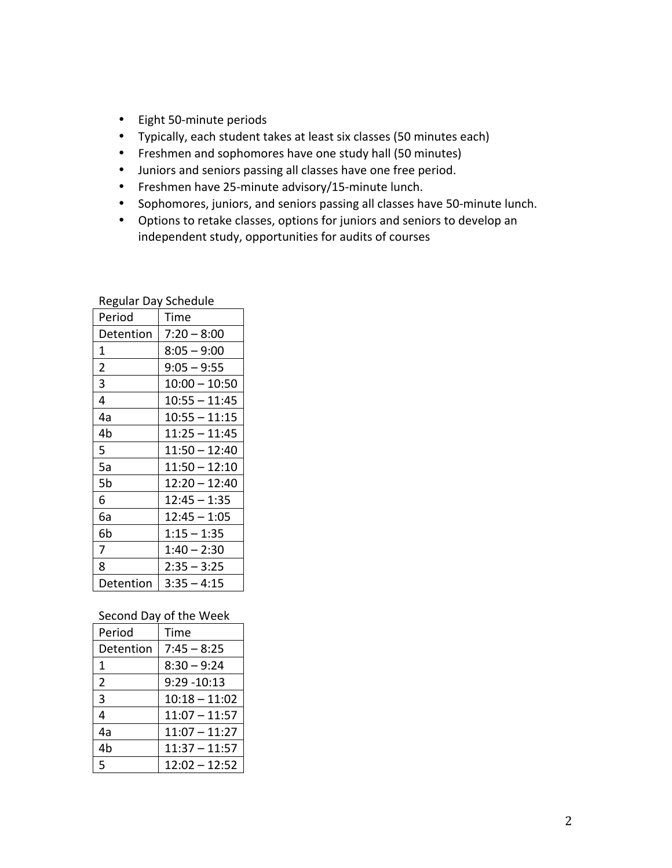- Eight 50-minute periods
- Typically, each student takes at least six classes (50 minutes each)
- Freshmen and sophomores have one study hall (50 minutes)
- Juniors and seniors passing all classes have one free period.
- Freshmen have 25-minute advisory/15-minute lunch.
- Sophomores, juniors, and seniors passing all classes have 50-minute lunch.
- Options to retake classes, options for juniors and seniors to develop an independent study, opportunities for audits of courses

| nuhunun buy    | <b>POLICANIC</b> |
|----------------|------------------|
| Period         | Time             |
| Detention      | $7:20 - 8:00$    |
| 1              | $8:05 - 9:00$    |
| $\overline{2}$ | $9:05 - 9:55$    |
| 3              | $10:00 - 10:50$  |
| 4              | $10:55 - 11:45$  |
| 4a             | $10:55 - 11:15$  |
| 4 <sub>b</sub> | $11:25 - 11:45$  |
| 5              | $11:50 - 12:40$  |
| 5a             | $11:50 - 12:10$  |
| 5b             | $12:20 - 12:40$  |
| 6              | $12:45 - 1:35$   |
| 6а             | $12:45 - 1:05$   |
| 6b             | $1:15 - 1:35$    |
| 7              | 1:40 – 2:30      |
| 8              | $2:35 - 3:25$    |
| Detention      | $3:35 - 4:15$    |

Regular!Day!Schedule

#### Second Day of the Week

| Period         | Time            |
|----------------|-----------------|
| Detention      | $7:45 - 8:25$   |
| 1              | $8:30 - 9:24$   |
| $\overline{2}$ | $9:29 - 10:13$  |
| 3              | $10:18 - 11:02$ |
| 4              | $11:07 - 11:57$ |
| 4а             | $11:07 - 11:27$ |
| 4b             | $11:37 - 11:57$ |
| 5              | $12:02 - 12:52$ |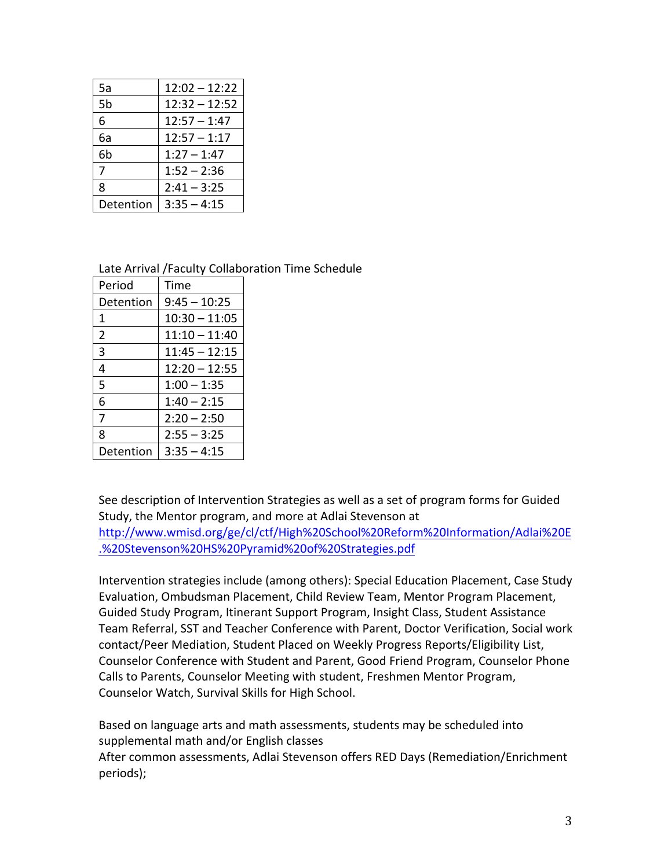| 5a        | $12:02 - 12:22$ |
|-----------|-----------------|
| 5b        | $12:32 - 12:52$ |
| 6         | $12:57 - 1:47$  |
| 6a        | $12:57 - 1:17$  |
| 6b        | $1:27 - 1:47$   |
| 7         | $1:52 - 2:36$   |
| 8         | $2:41 - 3:25$   |
| Detention | $3:35 - 4:15$   |

Late Arrival /Faculty Collaboration Time Schedule

| Period         | Time            |
|----------------|-----------------|
| Detention      | $9:45 - 10:25$  |
| 1              | $10:30 - 11:05$ |
| $\overline{2}$ | $11:10 - 11:40$ |
| 3              | $11:45 - 12:15$ |
| 4              | $12:20 - 12:55$ |
| 5              | $1:00 - 1:35$   |
| 6              | $1:40 - 2:15$   |
| 7              | $2:20 - 2:50$   |
| 8              | $2:55 - 3:25$   |
| Detention      | $3:35 - 4:15$   |

See description of Intervention Strategies as well as a set of program forms for Guided Study, the Mentor program, and more at Adlai Stevenson at http://www.wmisd.org/ge/cl/ctf/High%20School%20Reform%20Information/Adlai%20E .%20Stevenson%20HS%20Pyramid%20of%20Strategies.pdf

Intervention strategies include (among others): Special Education Placement, Case Study Evaluation, Ombudsman Placement, Child Review Team, Mentor Program Placement, Guided Study Program, Itinerant Support Program, Insight Class, Student Assistance Team Referral, SST and Teacher Conference with Parent, Doctor Verification, Social work contact/Peer Mediation, Student Placed on Weekly Progress Reports/Eligibility List, Counselor Conference with Student and Parent, Good Friend Program, Counselor Phone Calls to Parents, Counselor Meeting with student, Freshmen Mentor Program, Counselor Watch, Survival Skills for High School.

Based on language arts and math assessments, students may be scheduled into supplemental math and/or English classes After common assessments, Adlai Stevenson offers RED Days (Remediation/Enrichment periods);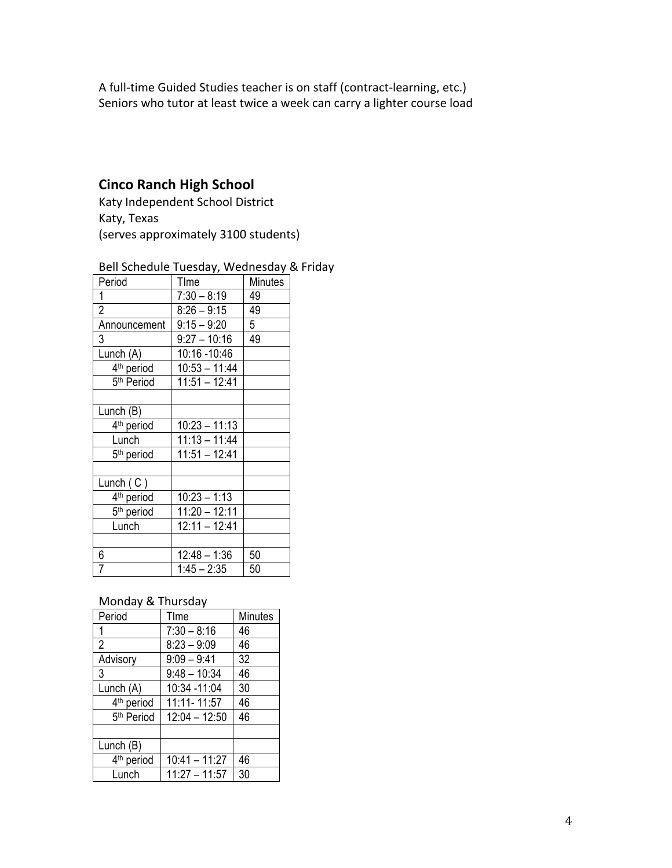A full-time Guided Studies teacher is on staff (contract-learning, etc.) Seniors who tutor at least twice a week can carry a lighter course load

## **Cinco+Ranch+High School**

Katy Independent School District Katy, Texas (serves approximately 3100 students)

| Bell Schedule Tuesday, Wednesday & Friday |  |  |
|-------------------------------------------|--|--|
|                                           |  |  |

| Period                 | TIme            | Minutes |
|------------------------|-----------------|---------|
| 1                      | $7:30 - 8:19$   | 49      |
| $\overline{2}$         | $8:26 - 9:15$   | 49      |
| Announcement           | $9:15 - 9:20$   | 5       |
| 3                      | $9:27 - 10:16$  | 49      |
| Lunch (A)              | 10:16 -10:46    |         |
| 4 <sup>th</sup> period | $10:53 - 11:44$ |         |
| 5 <sup>th</sup> Period | $11:51 - 12:41$ |         |
|                        |                 |         |
| Lunch (B)              |                 |         |
| 4 <sup>th</sup> period | $10:23 - 11:13$ |         |
| Lunch                  | $11:13 - 11:44$ |         |
| 5 <sup>th</sup> period | $11:51 - 12:41$ |         |
|                        |                 |         |
| Lunch $(C)$            |                 |         |
| 4 <sup>th</sup> period | $10:23 - 1:13$  |         |
| 5 <sup>th</sup> period | $11:20 - 12:11$ |         |
| Lunch                  | $12:11 - 12:41$ |         |
|                        |                 |         |
| 6                      | $12:48 - 1:36$  | 50      |
| 7                      | $1:45 - 2:35$   | 50      |

## Monday & Thursday

| Period                 | Time            | Minutes |
|------------------------|-----------------|---------|
| 1                      | $7:30 - 8:16$   | 46      |
| $\overline{2}$         | $8:23 - 9:09$   | 46      |
| Advisory               | $9:09 - 9:41$   | 32      |
| 3                      | $9:48 - 10:34$  | 46      |
| Lunch (A)              | 10:34 -11:04    | 30      |
| 4 <sup>th</sup> period | 11:11-11:57     | 46      |
| 5 <sup>th</sup> Period | $12:04 - 12:50$ | 46      |
|                        |                 |         |
| Lunch (B)              |                 |         |
| 4 <sup>th</sup> period | $10:41 - 11:27$ | 46      |
| Lunch                  | 11:27 – 11:57   | 30      |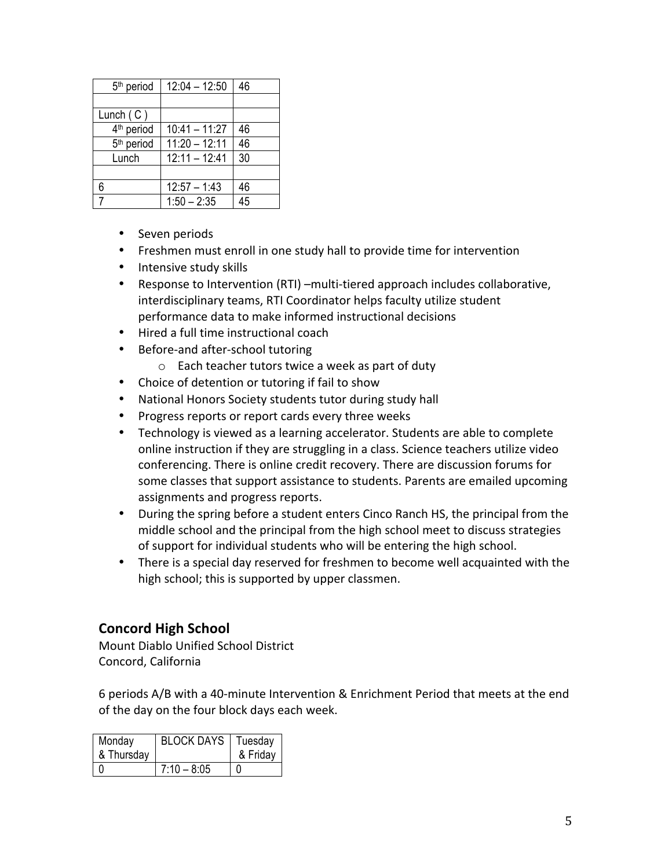| 5 <sup>th</sup> period | $12:04 - 12:50$ | 46 |
|------------------------|-----------------|----|
|                        |                 |    |
| Lunch $(C)$            |                 |    |
| 4 <sup>th</sup> period | $10:41 - 11:27$ | 46 |
| 5 <sup>th</sup> period | $11:20 - 12:11$ | 46 |
| Lunch                  | $12:11 - 12:41$ | 30 |
|                        |                 |    |
| 6                      | $12:57 - 1:43$  | 46 |
|                        | $1:50 - 2:35$   | 45 |
|                        |                 |    |

- Seven periods
- Freshmen must enroll in one study hall to provide time for intervention
- Intensive study skills
- Response to Intervention (RTI) –multi-tiered approach includes collaborative, interdisciplinary teams, RTI Coordinator helps faculty utilize student performance data to make informed instructional decisions
- Hired a full time instructional coach
- Before-and after-school tutoring
	- $\circ$  Each teacher tutors twice a week as part of duty
- Choice of detention or tutoring if fail to show
- National Honors Society students tutor during study hall
- Progress reports or report cards every three weeks
- Technology is viewed as a learning accelerator. Students are able to complete online instruction if they are struggling in a class. Science teachers utilize video conferencing. There is online credit recovery. There are discussion forums for some classes that support assistance to students. Parents are emailed upcoming assignments and progress reports.
- During the spring before a student enters Cinco Ranch HS, the principal from the middle school and the principal from the high school meet to discuss strategies of support for individual students who will be entering the high school.
- There is a special day reserved for freshmen to become well acquainted with the high school; this is supported by upper classmen.

## **Concord High School**

Mount Diablo Unified School District Concord, California

6 periods A/B with a 40-minute Intervention & Enrichment Period that meets at the end of the day on the four block days each week.

| Monday     | <b>BLOCK DAYS</b>   Tuesday |          |
|------------|-----------------------------|----------|
| & Thursday |                             | & Friday |
|            | $7:10 - 8:05$               |          |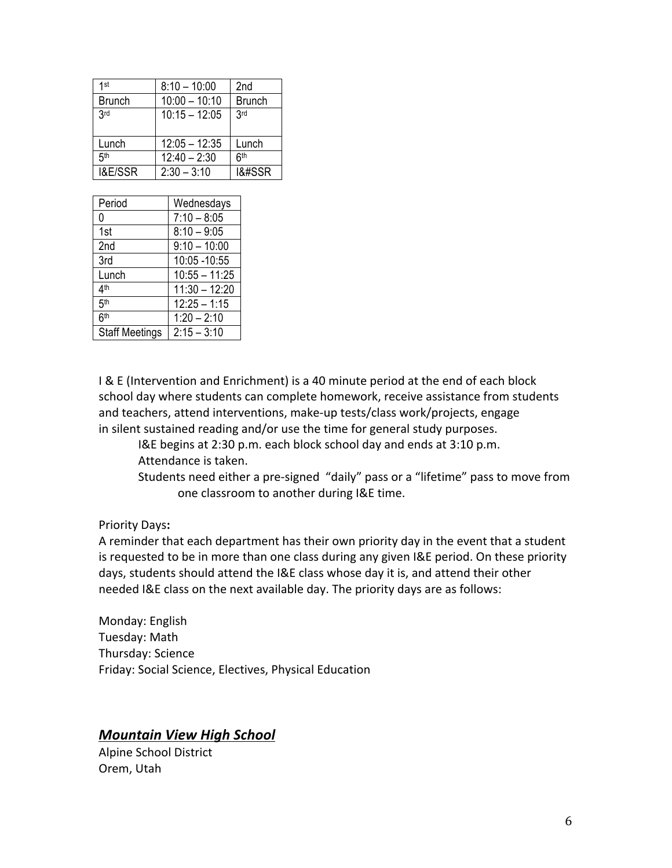| 1st                | $8:10 - 10:00$  | 2nd                              |
|--------------------|-----------------|----------------------------------|
| <b>Brunch</b>      | $10:00 - 10:10$ | <b>Brunch</b>                    |
| 3rd                | $10:15 - 12:05$ | 3rd                              |
|                    |                 |                                  |
| Lunch              | $12:05 - 12:35$ | Lunch                            |
| <b>Гф</b>          | $12:40 - 2:30$  | 6 <sup>th</sup>                  |
| <b>I&amp;E/SSR</b> | $2:30 - 3:10$   | 1&#SSR</td></tr></tbody></table> |

| Period                | Wednesdays      |
|-----------------------|-----------------|
| 0                     | $7:10 - 8:05$   |
| 1st                   | $8:10 - 9:05$   |
| 2 <sub>nd</sub>       | $9:10 - 10:00$  |
| 3rd                   | 10:05 - 10:55   |
| Lunch                 | $10:55 - 11:25$ |
| 4 <sup>th</sup>       | $11:30 - 12:20$ |
| 5 <sup>th</sup>       | $12:25 - 1:15$  |
| 6 <sup>th</sup>       | $1:20 - 2:10$   |
| <b>Staff Meetings</b> | $2:15 - 3:10$   |

I & E (Intervention and Enrichment) is a 40 minute period at the end of each block school day where students can complete homework, receive assistance from students and teachers, attend interventions, make-up tests/class work/projects, engage in silent sustained reading and/or use the time for general study purposes.

I&E begins at 2:30 p.m. each block school day and ends at 3:10 p.m. Attendance is taken.

Students need either a pre-signed "daily" pass or a "lifetime" pass to move from one classroom to another during I&E time.

### Priority Days:

A reminder that each department has their own priority day in the event that a student is requested to be in more than one class during any given I&E period. On these priority days, students should attend the I&E class whose day it is, and attend their other needed I&E class on the next available day. The priority days are as follows:

Monday: English Tuesday: Math Thursday: Science Friday: Social Science, Electives, Physical Education

## **Mountain View High School**

Alpine School District Orem, Utah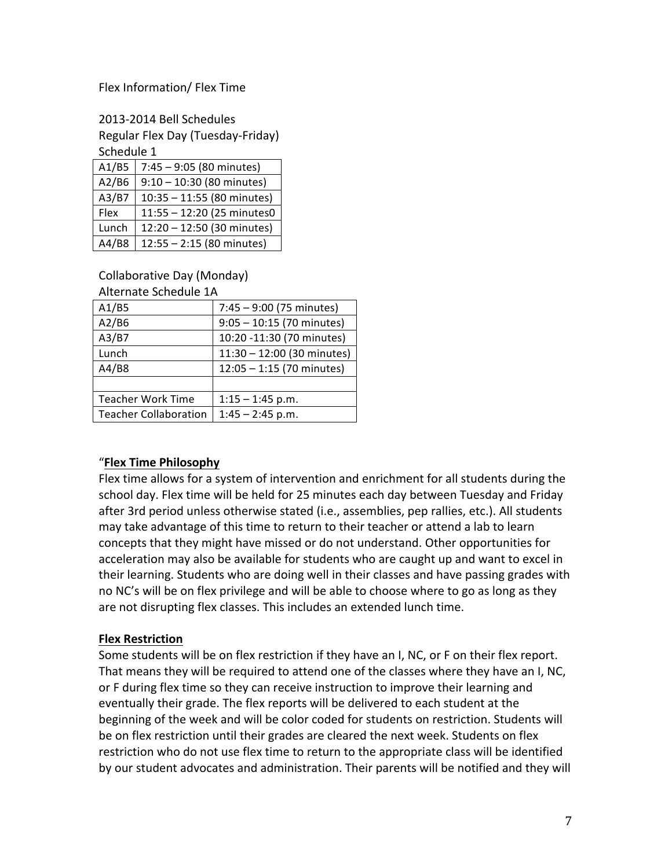#### Flex Information/ Flex Time

2013-2014 Bell Schedules Regular Flex Day (Tuesday-Friday) Schedule 1

| A1/B5 | $7:45 - 9:05$ (80 minutes)  |
|-------|-----------------------------|
| A2/B6 | $9:10 - 10:30$ (80 minutes) |
| A3/B7 | 10:35 - 11:55 (80 minutes)  |
| Flex  | 11:55 - 12:20 (25 minutes0  |
| Lunch | 12:20 - 12:50 (30 minutes)  |
| A4/B8 | $12:55 - 2:15$ (80 minutes) |

Collaborative Day (Monday)

Alternate Schedule 1A

| A1/B5                        | $7:45 - 9:00$ (75 minutes)  |
|------------------------------|-----------------------------|
| A2/B6                        | $9:05 - 10:15$ (70 minutes) |
| A3/B7                        | 10:20 -11:30 (70 minutes)   |
| Lunch                        | 11:30 - 12:00 (30 minutes)  |
| A4/B8                        | $12:05 - 1:15$ (70 minutes) |
|                              |                             |
| <b>Teacher Work Time</b>     | $1:15 - 1:45$ p.m.          |
| <b>Teacher Collaboration</b> | $1:45 - 2:45$ p.m.          |
|                              |                             |

### "**Flex+Time+Philosophy**

Flex time allows for a system of intervention and enrichment for all students during the school day. Flex time will be held for 25 minutes each day between Tuesday and Friday after 3rd period unless otherwise stated (i.e., assemblies, pep rallies, etc.). All students may take advantage of this time to return to their teacher or attend a lab to learn concepts that they might have missed or do not understand. Other opportunities for acceleration may also be available for students who are caught up and want to excel in their learning. Students who are doing well in their classes and have passing grades with no NC's will be on flex privilege and will be able to choose where to go as long as they are not disrupting flex classes. This includes an extended lunch time.

### **Flex+Restriction**

Some students will be on flex restriction if they have an I, NC, or F on their flex report. That means they will be required to attend one of the classes where they have an I, NC, or F during flex time so they can receive instruction to improve their learning and eventually their grade. The flex reports will be delivered to each student at the beginning of the week and will be color coded for students on restriction. Students will be on flex restriction until their grades are cleared the next week. Students on flex restriction who do not use flex time to return to the appropriate class will be identified by our student advocates and administration. Their parents will be notified and they will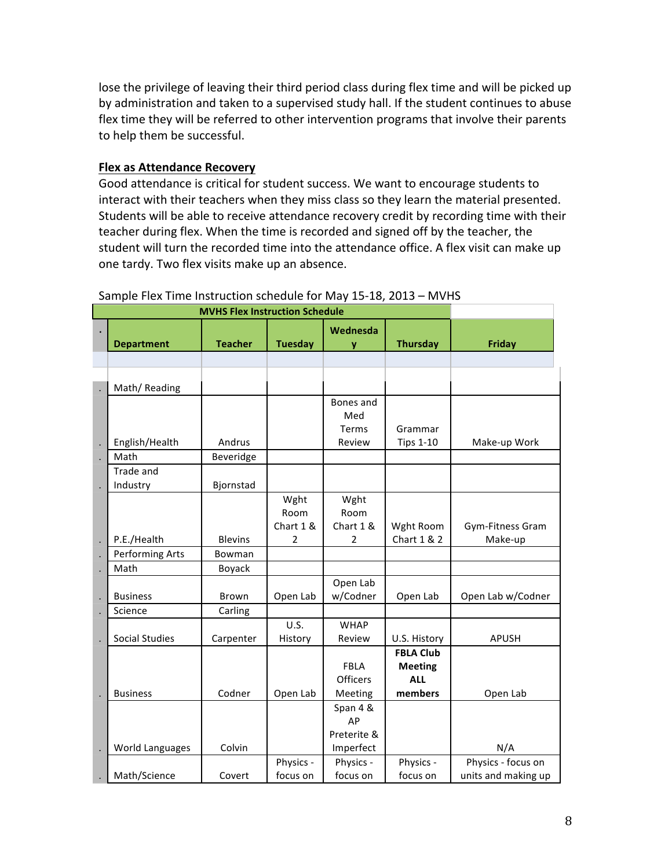lose the privilege of leaving their third period class during flex time and will be picked up by administration and taken to a supervised study hall. If the student continues to abuse flex time they will be referred to other intervention programs that involve their parents to help them be successful.

#### **Flex as Attendance Recovery**

Good attendance is critical for student success. We want to encourage students to interact with their teachers when they miss class so they learn the material presented. Students will be able to receive attendance recovery credit by recording time with their teacher during flex. When the time is recorded and signed off by the teacher, the student will turn the recorded time into the attendance office. A flex visit can make up one tardy. Two flex visits make up an absence.

| <b>MVHS Flex Instruction Schedule</b> |                        |                |                |                 |                  |                     |
|---------------------------------------|------------------------|----------------|----------------|-----------------|------------------|---------------------|
|                                       |                        |                |                | Wednesda        |                  |                     |
|                                       | <b>Department</b>      | <b>Teacher</b> | <b>Tuesday</b> | ۷               | <b>Thursday</b>  | <b>Friday</b>       |
|                                       |                        |                |                |                 |                  |                     |
|                                       |                        |                |                |                 |                  |                     |
|                                       | Math/Reading           |                |                |                 |                  |                     |
|                                       |                        |                |                | Bones and       |                  |                     |
|                                       |                        |                |                | Med             |                  |                     |
|                                       |                        |                |                | Terms           | Grammar          |                     |
|                                       | English/Health         | Andrus         |                | Review          | <b>Tips 1-10</b> | Make-up Work        |
|                                       | Math                   | Beveridge      |                |                 |                  |                     |
|                                       | Trade and              |                |                |                 |                  |                     |
|                                       | Industry               | Bjornstad      |                |                 |                  |                     |
|                                       |                        |                | Wght           | Wght            |                  |                     |
|                                       |                        |                | Room           | Room            |                  |                     |
|                                       |                        |                | Chart 1 &      | Chart 1 &       | Wght Room        | Gym-Fitness Gram    |
|                                       | P.E./Health            | <b>Blevins</b> | $\overline{2}$ | 2               | Chart 1 & 2      | Make-up             |
|                                       | <b>Performing Arts</b> | Bowman         |                |                 |                  |                     |
|                                       | Math                   | Boyack         |                |                 |                  |                     |
|                                       |                        |                |                | Open Lab        |                  |                     |
|                                       | <b>Business</b>        | <b>Brown</b>   | Open Lab       | w/Codner        | Open Lab         | Open Lab w/Codner   |
|                                       | Science                | Carling        |                |                 |                  |                     |
|                                       |                        |                | U.S.           | <b>WHAP</b>     |                  |                     |
|                                       | <b>Social Studies</b>  | Carpenter      | History        | Review          | U.S. History     | <b>APUSH</b>        |
|                                       |                        |                |                |                 | <b>FBLA Club</b> |                     |
|                                       |                        |                |                | <b>FBLA</b>     | <b>Meeting</b>   |                     |
|                                       |                        |                |                | <b>Officers</b> | <b>ALL</b>       |                     |
|                                       | <b>Business</b>        | Codner         | Open Lab       | Meeting         | members          | Open Lab            |
|                                       |                        |                |                | Span 4 &        |                  |                     |
|                                       |                        |                |                | AP              |                  |                     |
|                                       |                        |                |                | Preterite &     |                  |                     |
|                                       | World Languages        | Colvin         |                | Imperfect       |                  | N/A                 |
|                                       |                        |                | Physics -      | Physics -       | Physics -        | Physics - focus on  |
|                                       | Math/Science           | Covert         | focus on       | focus on        | focus on         | units and making up |

#### Sample Flex Time Instruction schedule for May 15-18, 2013 – MVHS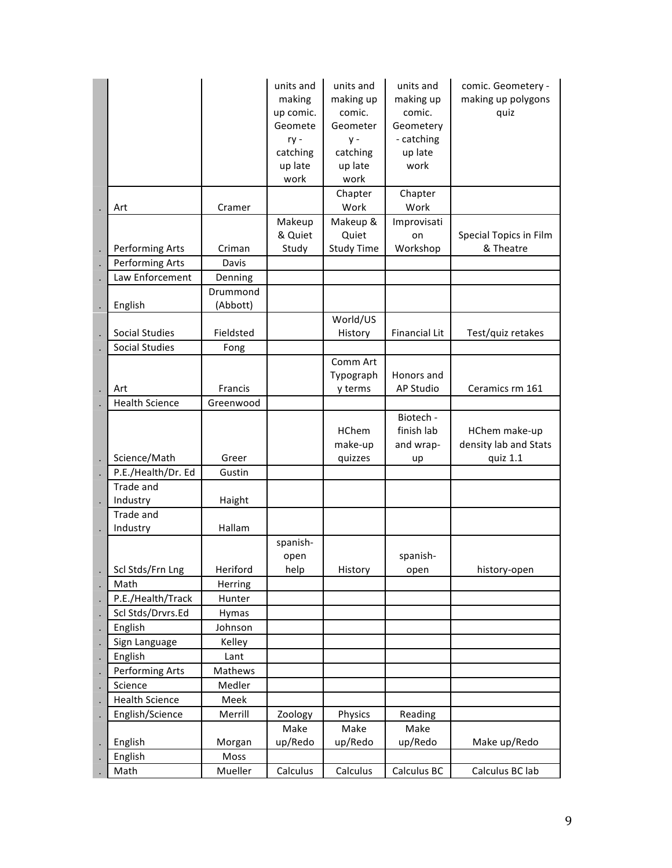|                              |                      | units and<br>making<br>up comic.<br>Geomete<br>ry -<br>catching<br>up late<br>work | units and<br>making up<br>comic.<br>Geometer<br>$y -$<br>catching<br>up late<br>work<br>Chapter | units and<br>making up<br>comic.<br>Geometery<br>- catching<br>up late<br>work<br>Chapter | comic. Geometery -<br>making up polygons<br>quiz   |
|------------------------------|----------------------|------------------------------------------------------------------------------------|-------------------------------------------------------------------------------------------------|-------------------------------------------------------------------------------------------|----------------------------------------------------|
| Art                          | Cramer               |                                                                                    | Work                                                                                            | Work                                                                                      |                                                    |
| Performing Arts              | Criman               | Makeup<br>& Quiet<br>Study                                                         | Makeup &<br>Quiet<br><b>Study Time</b>                                                          | Improvisati<br>on<br>Workshop                                                             | Special Topics in Film<br>& Theatre                |
| <b>Performing Arts</b>       | Davis                |                                                                                    |                                                                                                 |                                                                                           |                                                    |
| Law Enforcement              | Denning              |                                                                                    |                                                                                                 |                                                                                           |                                                    |
| English                      | Drummond<br>(Abbott) |                                                                                    |                                                                                                 |                                                                                           |                                                    |
| <b>Social Studies</b>        | Fieldsted            |                                                                                    | World/US<br>History                                                                             | <b>Financial Lit</b>                                                                      | Test/quiz retakes                                  |
| <b>Social Studies</b>        | Fong                 |                                                                                    |                                                                                                 |                                                                                           |                                                    |
|                              |                      |                                                                                    | Comm Art                                                                                        |                                                                                           |                                                    |
|                              |                      |                                                                                    | Typograph                                                                                       | Honors and                                                                                |                                                    |
| Art                          | Francis              |                                                                                    | y terms                                                                                         | AP Studio                                                                                 | Ceramics rm 161                                    |
| <b>Health Science</b>        | Greenwood            |                                                                                    |                                                                                                 |                                                                                           |                                                    |
| Science/Math                 | Greer                |                                                                                    | <b>HChem</b><br>make-up<br>quizzes                                                              | Biotech -<br>finish lab<br>and wrap-<br>up                                                | HChem make-up<br>density lab and Stats<br>quiz 1.1 |
| P.E./Health/Dr. Ed           | Gustin               |                                                                                    |                                                                                                 |                                                                                           |                                                    |
| Trade and                    |                      |                                                                                    |                                                                                                 |                                                                                           |                                                    |
| Industry                     | Haight               |                                                                                    |                                                                                                 |                                                                                           |                                                    |
| Trade and                    |                      |                                                                                    |                                                                                                 |                                                                                           |                                                    |
| Industry                     | Hallam               |                                                                                    |                                                                                                 |                                                                                           |                                                    |
|                              |                      | spanish-<br>open                                                                   |                                                                                                 | spanish-                                                                                  |                                                    |
| Scl Stds/Frn Lng             | Heriford             | help                                                                               | History                                                                                         | open                                                                                      | history-open                                       |
| Math<br>P.E./Health/Track    | Herring<br>Hunter    |                                                                                    |                                                                                                 |                                                                                           |                                                    |
|                              |                      |                                                                                    |                                                                                                 |                                                                                           |                                                    |
| Scl Stds/Drvrs.Ed<br>English | Hymas<br>Johnson     |                                                                                    |                                                                                                 |                                                                                           |                                                    |
| Sign Language                | Kelley               |                                                                                    |                                                                                                 |                                                                                           |                                                    |
| English                      | Lant                 |                                                                                    |                                                                                                 |                                                                                           |                                                    |
| Performing Arts              | Mathews              |                                                                                    |                                                                                                 |                                                                                           |                                                    |
| Science                      | Medler               |                                                                                    |                                                                                                 |                                                                                           |                                                    |
| <b>Health Science</b>        | Meek                 |                                                                                    |                                                                                                 |                                                                                           |                                                    |
| English/Science              | Merrill              | Zoology                                                                            | Physics                                                                                         | Reading                                                                                   |                                                    |
|                              |                      | Make                                                                               | Make                                                                                            | Make                                                                                      |                                                    |
| English                      | Morgan               | up/Redo                                                                            | up/Redo                                                                                         | up/Redo                                                                                   | Make up/Redo                                       |
| English                      | Moss                 |                                                                                    |                                                                                                 |                                                                                           |                                                    |
| Math                         | Mueller              | Calculus                                                                           | Calculus                                                                                        | Calculus BC                                                                               | Calculus BC lab                                    |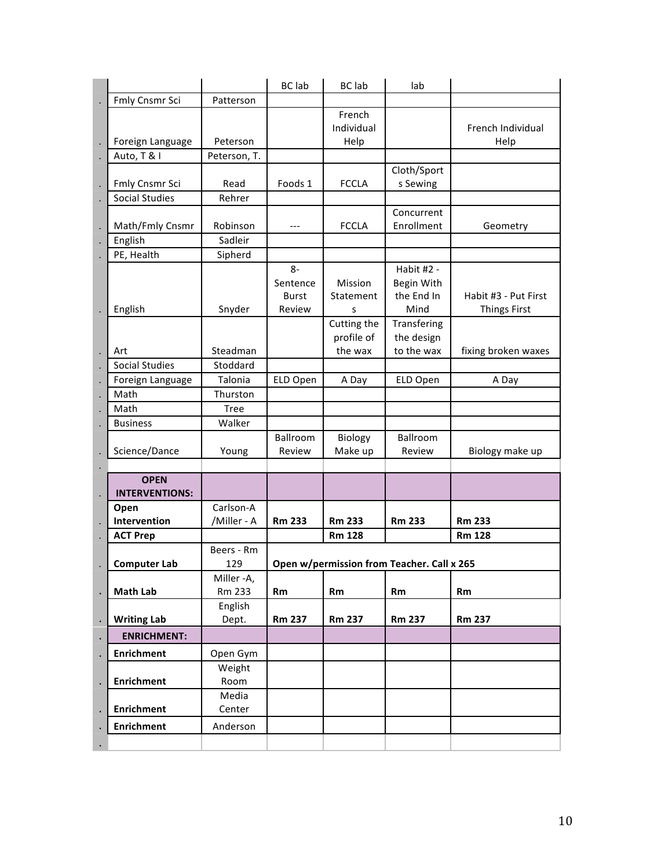|                                      |                          | <b>BC</b> lab                              | <b>BC</b> lab                        | lab                                            |                                             |
|--------------------------------------|--------------------------|--------------------------------------------|--------------------------------------|------------------------------------------------|---------------------------------------------|
| Fmly Cnsmr Sci                       | Patterson                |                                            |                                      |                                                |                                             |
| Foreign Language                     | Peterson                 |                                            | French<br>Individual<br>Help         |                                                | French Individual<br>Help                   |
| Auto, T & I                          | Peterson, T.             |                                            |                                      |                                                |                                             |
| Fmly Cnsmr Sci                       | Read                     | Foods 1                                    | <b>FCCLA</b>                         | Cloth/Sport<br>s Sewing                        |                                             |
| <b>Social Studies</b>                | Rehrer                   |                                            |                                      |                                                |                                             |
| Math/Fmly Cnsmr                      | Robinson                 |                                            | <b>FCCLA</b>                         | Concurrent<br>Enrollment                       | Geometry                                    |
| English                              | Sadleir                  |                                            |                                      |                                                |                                             |
| PE, Health                           | Sipherd                  |                                            |                                      |                                                |                                             |
| English                              | Snyder                   | $8-$<br>Sentence<br><b>Burst</b><br>Review | Mission<br>Statement<br>S            | Habit #2 -<br>Begin With<br>the End In<br>Mind | Habit #3 - Put First<br><b>Things First</b> |
| Art                                  | Steadman                 |                                            | Cutting the<br>profile of<br>the wax | Transfering<br>the design<br>to the wax        | fixing broken waxes                         |
| <b>Social Studies</b>                | Stoddard                 |                                            |                                      |                                                |                                             |
| Foreign Language                     | Talonia                  | ELD Open                                   | A Day                                | ELD Open                                       | A Day                                       |
| Math                                 | Thurston                 |                                            |                                      |                                                |                                             |
| Math                                 | <b>Tree</b>              |                                            |                                      |                                                |                                             |
| <b>Business</b>                      | Walker                   |                                            |                                      |                                                |                                             |
| Science/Dance                        | Young                    | Ballroom<br>Review                         | Biology<br>Make up                   | Ballroom<br>Review                             | Biology make up                             |
|                                      |                          |                                            |                                      |                                                |                                             |
| <b>OPEN</b><br><b>INTERVENTIONS:</b> |                          |                                            |                                      |                                                |                                             |
| Open<br>Intervention                 | Carlson-A<br>/Miller - A | <b>Rm 233</b>                              | <b>Rm 233</b>                        | <b>Rm 233</b>                                  | <b>Rm 233</b>                               |
| <b>ACT Prep</b>                      |                          |                                            | <b>Rm 128</b>                        |                                                | <b>Rm 128</b>                               |
| <b>Computer Lab</b>                  | Beers - Rm<br>129        | Open w/permission from Teacher. Call x 265 |                                      |                                                |                                             |
| <b>Math Lab</b>                      | Miller -A,<br>Rm 233     | Rm                                         | Rm                                   | Rm                                             | Rm                                          |
| <b>Writing Lab</b>                   | English<br>Dept.         | <b>Rm 237</b>                              | <b>Rm 237</b>                        | <b>Rm 237</b>                                  | <b>Rm 237</b>                               |
| <b>ENRICHMENT:</b>                   |                          |                                            |                                      |                                                |                                             |
| <b>Enrichment</b>                    | Open Gym                 |                                            |                                      |                                                |                                             |
|                                      | Weight                   |                                            |                                      |                                                |                                             |
| <b>Enrichment</b>                    | Room                     |                                            |                                      |                                                |                                             |
| <b>Enrichment</b>                    | Media<br>Center          |                                            |                                      |                                                |                                             |
| <b>Enrichment</b>                    | Anderson                 |                                            |                                      |                                                |                                             |
|                                      |                          |                                            |                                      |                                                |                                             |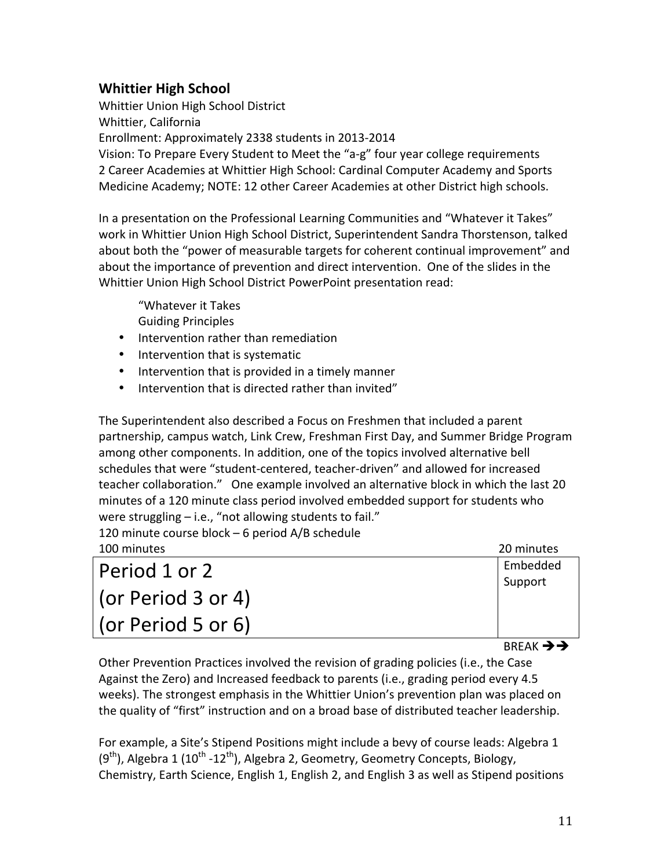## **Whittier High School**

Whittier Union High School District Whittier, California Enrollment: Approximately 2338 students in 2013-2014 Vision: To Prepare Every Student to Meet the "a-g" four year college requirements 2 Career Academies at Whittier High School: Cardinal Computer Academy and Sports Medicine Academy; NOTE: 12 other Career Academies at other District high schools.

In a presentation on the Professional Learning Communities and "Whatever it Takes" work in Whittier Union High School District, Superintendent Sandra Thorstenson, talked about both the "power of measurable targets for coherent continual improvement" and about the importance of prevention and direct intervention. One of the slides in the Whittier Union High School District PowerPoint presentation read:

"Whatever it Takes **Guiding Principles** 

- Intervention rather than remediation
- Intervention that is systematic
- Intervention that is provided in a timely manner
- Intervention that is directed rather than invited"

The Superintendent also described a Focus on Freshmen that included a parent partnership, campus watch, Link Crew, Freshman First Day, and Summer Bridge Program among other components. In addition, one of the topics involved alternative bell schedules that were "student-centered, teacher-driven" and allowed for increased teacher collaboration." One example involved an alternative block in which the last 20 minutes of a 120 minute class period involved embedded support for students who were struggling  $-$  i.e., "not allowing students to fail."

120 minute course block – 6 period  $A/B$  schedule

| 100 minutes        | 20 minutes |
|--------------------|------------|
| Period 1 or 2      | Embedded   |
|                    | Support    |
| (or Period 3 or 4) |            |
| (or Period 5 or 6) |            |

**BREAK →→** 

Other Prevention Practices involved the revision of grading policies (i.e., the Case Against the Zero) and Increased feedback to parents (i.e., grading period every 4.5 weeks). The strongest emphasis in the Whittier Union's prevention plan was placed on the quality of "first" instruction and on a broad base of distributed teacher leadership.

For example, a Site's Stipend Positions might include a bevy of course leads: Algebra 1  $(9<sup>th</sup>)$ , Algebra 1 (10<sup>th</sup> -12<sup>th</sup>), Algebra 2, Geometry, Geometry Concepts, Biology, Chemistry, Earth Science, English 1, English 2, and English 3 as well as Stipend positions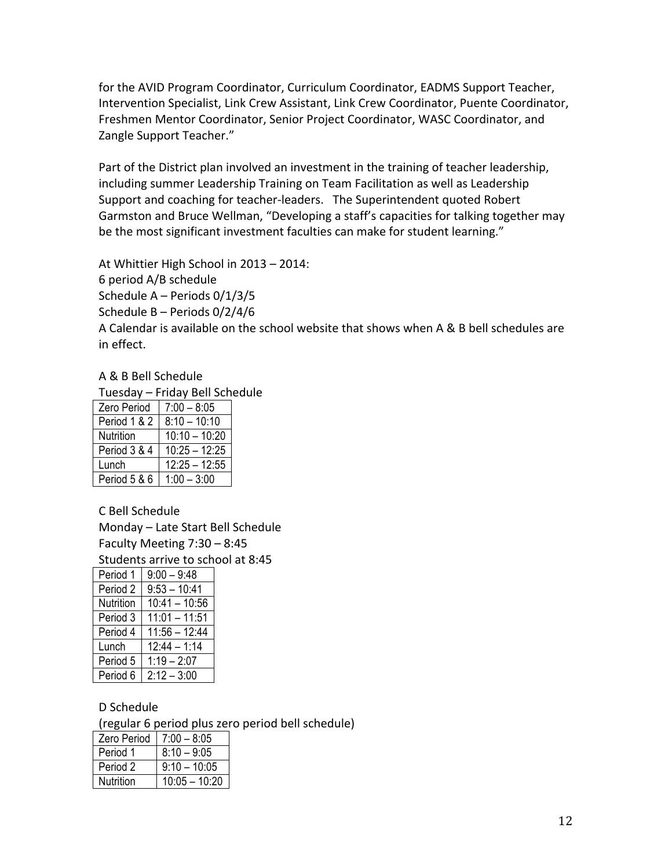for the AVID Program Coordinator, Curriculum Coordinator, EADMS Support Teacher, Intervention Specialist, Link Crew Assistant, Link Crew Coordinator, Puente Coordinator, Freshmen Mentor Coordinator, Senior Project Coordinator, WASC Coordinator, and Zangle Support Teacher."

Part of the District plan involved an investment in the training of teacher leadership, including summer Leadership Training on Team Facilitation as well as Leadership Support and coaching for teacher-leaders. The Superintendent quoted Robert Garmston and Bruce Wellman, "Developing a staff's capacities for talking together may be the most significant investment faculties can make for student learning."

At Whittier High School in 2013 – 2014: 6 period A/B schedule Schedule  $A$  – Periods  $0/1/3/5$ Schedule  $B$  – Periods  $0/2/4/6$ A Calendar is available on the school website that shows when A & B bell schedules are in effect.

#### A & B Bell Schedule

Tuesday – Friday Bell Schedule

| Zero Period  | $7:00 - 8:05$   |
|--------------|-----------------|
| Period 1 & 2 | $8:10 - 10:10$  |
| Nutrition    | $10:10 - 10:20$ |
| Period 3 & 4 | $10:25 - 12:25$ |
| Lunch        | $12:25 - 12:55$ |
| Period 5 & 6 | $1:00 - 3:00$   |

C Bell Schedule

Monday – Late Start Bell Schedule Faculty Meeting  $7:30 - 8:45$ 

Students arrive to school at 8:45

| Period 1  | $9:00 - 9:48$   |
|-----------|-----------------|
| Period 2  | $9:53 - 10:41$  |
| Nutrition | $10:41 - 10:56$ |
| Period 3  | $11:01 - 11:51$ |
| Period 4  | $11:56 - 12:44$ |
| Lunch     | $12:44 - 1:14$  |
| Period 5  | $1:19 - 2:07$   |
| Period 6  | $2:12 - 3:00$   |

#### D Schedule

(regular 6 period plus zero period bell schedule)

| <b>Zero Period</b> | $7:00 - 8:05$   |
|--------------------|-----------------|
| Period 1           | $8:10 - 9:05$   |
| Period 2           | $9:10 - 10:05$  |
| Nutrition          | $10:05 - 10:20$ |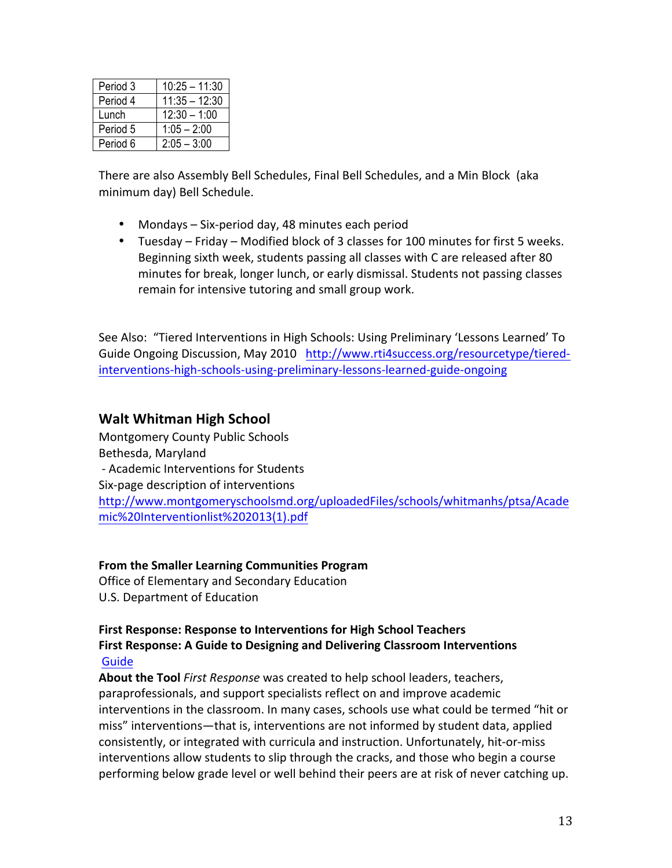| Period 3 | $10:25 - 11:30$ |
|----------|-----------------|
| Period 4 | $11:35 - 12:30$ |
| Lunch    | $12:30 - 1:00$  |
| Period 5 | $1:05 - 2:00$   |
| Period 6 | $2:05 - 3:00$   |

There are also Assembly Bell Schedules, Final Bell Schedules, and a Min Block (aka minimum day) Bell Schedule.

- Mondays Six-period day, 48 minutes each period
- Tuesday Friday Modified block of 3 classes for 100 minutes for first 5 weeks. Beginning sixth week, students passing all classes with C are released after 80 minutes for break, longer lunch, or early dismissal. Students not passing classes remain for intensive tutoring and small group work.

See Also: "Tiered Interventions in High Schools: Using Preliminary 'Lessons Learned' To Guide Ongoing Discussion, May 2010 http://www.rti4success.org/resourcetype/tieredinterventions-high-schools-using-preliminary-lessons-learned-guide-ongoing

## **Walt+Whitman+High+School+**

Montgomery County Public Schools Bethesda, Maryland - Academic Interventions for Students Six-page description of interventions http://www.montgomeryschoolsmd.org/uploadedFiles/schools/whitmanhs/ptsa/Acade mic%20Interventionlist%202013(1).pdf

### **From the Smaller Learning Communities Program**

Office of Elementary and Secondary Education U.S. Department of Education

#### First Response: Response to Interventions for High School Teachers First Response: A Guide to Designing and Delivering Classroom Interventions Guide

About the Tool *First Response* was created to help school leaders, teachers, paraprofessionals, and support specialists reflect on and improve academic interventions in the classroom. In many cases, schools use what could be termed "hit or miss" interventions—that is, interventions are not informed by student data, applied consistently, or integrated with curricula and instruction. Unfortunately, hit-or-miss interventions allow students to slip through the cracks, and those who begin a course performing below grade level or well behind their peers are at risk of never catching up.